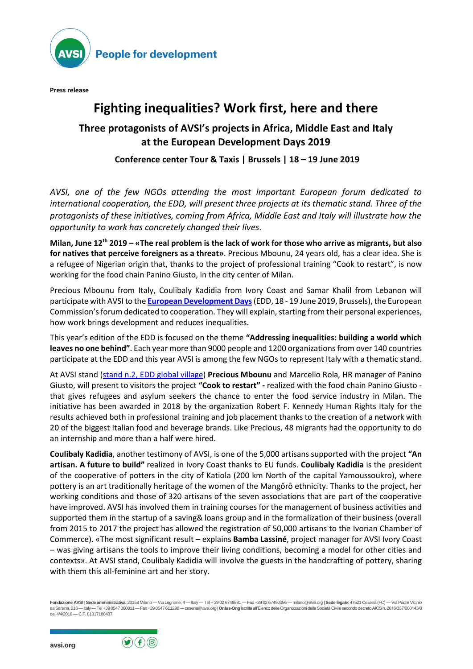

**People for development** 

**Press release**

# **Fighting inequalities? Work first, here and there**

### **Three protagonists of AVSI's projects in Africa, Middle East and Italy at the European Development Days 2019**

#### **Conference center Tour & Taxis | Brussels | 18 – 19 June 2019**

*AVSI, one of the few NGOs attending the most important European forum dedicated to international cooperation, the EDD, will present three projects at its thematic stand. Three of the protagonists of these initiatives, coming from Africa, Middle East and Italy will illustrate how the opportunity to work has concretely changed their lives.* 

Milan, June  $12<sup>th</sup>$  2019 – «The real problem is the lack of work for those who arrive as migrants, but also **for natives that perceive foreigners as a threat»**. Precious Mbounu, 24 years old, has a clear idea. She is a refugee of Nigerian origin that, thanks to the project of professional training "Cook to restart", is now working for the food chain Panino Giusto, in the city center of Milan.

Precious Mbounu from Italy, Coulibaly Kadidia from Ivory Coast and Samar Khalil from Lebanon will participate with AVSI to the **European [Development](https://eudevdays.eu/community/sessions/2965/cooperatives-and-peace-a-case-study-approach) Days** (EDD, 18 - 19 June 2019, Brussels), the European Commission's forum dedicated to cooperation. They will explain, starting from their personal experiences, how work brings development and reduces inequalities.

This year's edition of the EDD is focused on the theme **"Addressing inequalities: building a world which leaves no one behind"**. Each year more than 9000 people and 1200 organizations from over 140 countries participate at the EDD and this year AVSI is among the few NGOs to represent Italy with a thematic stand.

At AVSI stand (stand n.2, EDD global [village\)](https://eudevdays.eu/community/sessions/2456/job-creation-to-fight-inequalities-success-stories-in-africa-and-europe) **Precious Mbounu** and Marcello Rola, HR manager of Panino Giusto, will present to visitors the project **"Cook to restart" -** realized with the food chain Panino Giusto that gives refugees and asylum seekers the chance to enter the food service industry in Milan. The initiative has been awarded in 2018 by the organization Robert F. Kennedy Human Rights Italy for the results achieved both in professional training and job placement thanks to the creation of a network with 20 of the biggest Italian food and beverage brands. Like Precious, 48 migrants had the opportunity to do an internship and more than a half were hired.

**Coulibaly Kadidia**, another testimony of AVSI, is one of the 5,000 artisans supported with the project **"An artisan. A future to build"** realized in Ivory Coast thanks to EU funds. **Coulibaly Kadidia** is the president of the cooperative of potters in the city of Katiola (200 km North of the capital Yamoussoukro), where pottery is an art traditionally heritage of the women of the Mangôrô ethnicity. Thanks to the project, her working conditions and those of 320 artisans of the seven associations that are part of the cooperative have improved. AVSI has involved them in training courses for the management of business activities and supported them in the startup of a saving& loans group and in the formalization of their business (overall from 2015 to 2017 the project has allowed the registration of 50,000 artisans to the Ivorian Chamber of Commerce). «The most significant result – explains **Bamba Lassiné**, project manager for AVSI Ivory Coast – was giving artisans the tools to improve their living conditions, becoming a model for other cities and contexts». At AVSI stand, Coulibaly Kadidia will involve the guests in the handcrafting of pottery, sharing with them this all-feminine art and her story.

**Fondazione AVSI** | **Sede amministrativa**: 20158 Milano — Via Legnone, 4 — Italy — Tel + 39 02 6749881 — Fax +39 02 67490056 — milano@avsi.org | **Sede legale**: 47521 Cesena (FC) — Via Padre Vicinio da Sarsina, 216 —Italy —Tel +39 0547 360811 —Fax +39 0547 611290 —cesena@avsi.org | **Onlus-Ong**iscritta all'Elenco delle Organizzazioni della Società Civile secondo decreto AICS n. 2016/337/000143/0 del 4/4/2016 — C.F. 81017180407